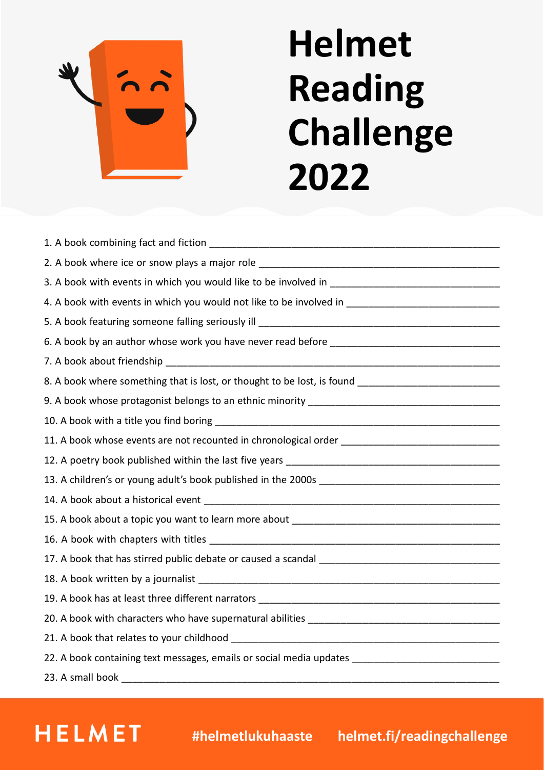

´

**HELMET** 

## **Helmet Reading Challenge 2022**

| 8. A book where something that is lost, or thought to be lost, is found ____________________________ |
|------------------------------------------------------------------------------------------------------|
|                                                                                                      |
|                                                                                                      |
| 11. A book whose events are not recounted in chronological order __________________________________  |
|                                                                                                      |
|                                                                                                      |
|                                                                                                      |
|                                                                                                      |
|                                                                                                      |
|                                                                                                      |
|                                                                                                      |
|                                                                                                      |
|                                                                                                      |
|                                                                                                      |
| 22. A book containing text messages, emails or social media updates _______________________________  |
| 23. A small book                                                                                     |

## **helmet.f #helmetlukuhaaste helmet.fi/readingchallenge**